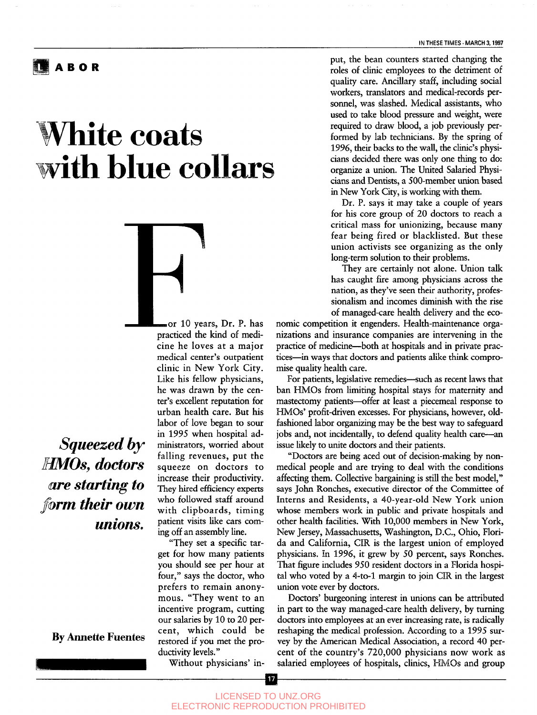## **ABO R**

## **White coats with blue collars**



*Squeezed by HMDs, doctors are starting to their own unions.*

clinic in New York City. Like his fellow physicians, he was drawn by the center's excellent reputation for urban health care. But his labor of love began to sour in 1995 when hospital administrators, worried about falling revenues, put the squeeze on doctors to increase their productivity. They hired efficiency experts who followed staff around with clipboards, timing patient visits like cars coming off an assembly line.

•or 10 years, Dr. P. has practiced the kind of medicine he loves at a major medical center's outpatient

"They set a specific target for how many patients you should see per hour at four," says the doctor, who prefers to remain anonymous. "They went to an incentive program, cutting our salaries by 10 to 20 percent, which could be restored if you met the productivity levels."

Without physicians' in-

**IN THESE TIMES • MARCH 3,1997**

put, the bean counters started changing the roles of clinic employees to the detriment of quality care. Ancillary staff, including social workers, translators and medical-records personnel, was slashed. Medical assistants, who used to take blood pressure and weight, were required to draw blood, a job previously performed by lab technicians. By the spring of 1996, their backs to the wall, the clinic's physicians decided there was only one thing to do: organize a union. The United Salaried Physicians and Dentists, a 500-member union based in New York City, is working with them.

Dr. P. says it may take a couple of years for his core group of 20 doctors to reach a critical mass for unionizing, because many fear being fired or blacklisted. But these union activists see organizing as the only long-term solution to their problems.

They are certainly not alone. Union talk has caught fire among physicians across the nation, as they've seen their authority, professionalism and incomes diminish with the rise of managed-care health delivery and the eco-

nomic competition it engenders. Health-maintenance organizations and insurance companies are intervening in the practice of medicine—both at hospitals and in private practices—in ways that doctors and patients alike think compromise quality health care.

For patients, legislative remedies—such as recent laws that ban HMOs from limiting hospital stays for maternity and mastectomy patients—offer at least a piecemeal response to HMDs' profit-driven excesses. For physicians, however, oldfashioned labor organizing may be the best way to safeguard jobs and, not incidentally, to defend quality health care—an issue likely to unite doctors and their patients.

"Doctors are being aced out of decision-making by nonmedical people and are trying to deal with the conditions affecting them. Collective bargaining is still the best model," says John Ronches, executive director of the Committee of Interns and Residents, a 40-year-old New York union whose members work in public and private hospitals and other health facilities. With 10,000 members in New York, New Jersey, Massachusetts, Washington, D.C., Ohio, Florida and California, CIR is the largest union of employed physicians. In 1996, it grew by 50 percent, says Ronches. That figure includes 950 resident doctors in a Florida hospital who voted by a 4-to-l margin to join CIR in the largest union vote ever by doctors.

Doctors' burgeoning interest in unions can be attributed in part to the way managed-care health delivery, by turning doctors into employees at an ever increasing rate, is radically reshaping the medical profession. According to a 1995 survey by the American Medical Association, a record 40 percent of the country's 720,000 physicians now work as salaried employees of hospitals, clinics, HMOs and group

**By Annette Fuentes**

LICENSED TO UNZ.ORG ELECTRONIC REPRODUCTION PROHIBITED

| 17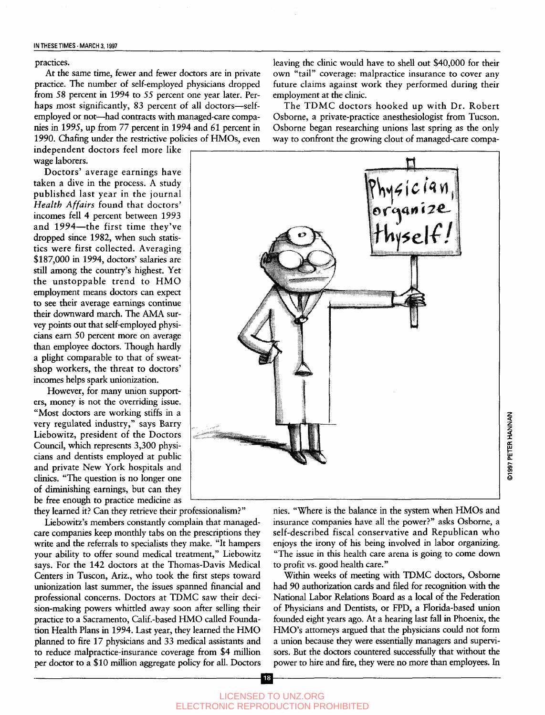practices.

At the same time, fewer and fewer doctors are in private practice. The number of self-employed physicians dropped from 58 percent in *1994* to 55 percent one year later. Perhaps most significantly, 83 percent of all doctors—selfemployed or not—had contracts with managed-care companies in 1995, up from *77* percent in 1994 and 61 percent in 1990. Chafing under the restrictive policies of HMOs, even

independent doctors feel more like wage laborers.

Doctors' average earnings have taken a dive in the process. A study published last year in the journal *Health Affairs* found that doctors' incomes fell 4 percent between 1993 and 1994—the first time they've dropped since 1982, when such statistics were first collected. Averaging \$187,000 in 1994, doctors' salaries are still among the country's highest. Yet the unstoppable trend to HMO employment means doctors can expect to see their average earnings continue their downward march. The AMA survey points out that self-employed physicians earn 50 percent more on average than employee doctors. Though hardly a plight comparable to that of sweatshop workers, the threat to doctors' incomes helps spark unionization.

However, for many union supporters, money is not the overriding issue. "Most doctors are working stiffs in a very regulated industry," says Barry Liebowitz, president of the Doctors Council, which represents 3,300 physicians and dentists employed at public and private New York hospitals and clinics. "The question is no longer one of diminishing earnings, but can they be free enough to practice medicine as

they learned it? Can they retrieve their professionalism?"

Liebowitz's members constantly complain that managedcare companies keep monthly tabs on the prescriptions they write and the referrals to specialists they make. "It hampers your ability to offer sound medical treatment," Liebowitz says. For the 142 doctors at the Thomas-Davis Medical Centers in Tuscon, Ariz., who took the first steps toward unionization last summer, the issues spanned financial and professional concerns. Doctors at TDMC saw their decision-making powers whittled away soon after selling their practice to a Sacramento, Calif.-based HMO called Foundation Health Plans in 1994. Last year, they learned the HMO planned to fire 17 physicians and 33 medical assistants and to reduce malpractice-insurance coverage from \$4 million per doctor to a \$10 million aggregate policy for all. Doctors leaving the clinic would have to shell out \$40,000 for their own "tail" coverage: malpractice insurance to cover any future claims against work they performed during their employment at the clinic.

The TDMC doctors hooked up with Dr. Robert Osborne, a private-practice anesthesiologist from Tucson. Osborne began researching unions last spring as the only way to confront the growing clout of managed-care compa-



©1997 PETER HANNAN

Within weeks of meeting with TDMC doctors, Osborne had 90 authorization cards and filed for recognition with the National Labor Relations Board as a local of the Federation of Physicians and Dentists, or FPD, a Florida-based union founded eight years ago. At a hearing last fall in Phoenix, the HMO's attorneys argued that the physicians could not form a union because they were essentially managers and supervisors. But the doctors countered successfully that without the power to hire and fire, they were no more than employees. In

to profit vs. good health care."

nies. "Where is the balance in the system when HMOs and insurance companies have all the power?" asks Osborne, a self-described fiscal conservative and Republican who enjoys the irony of his being involved in labor organizing. "The issue in this health care arena is going to come down

18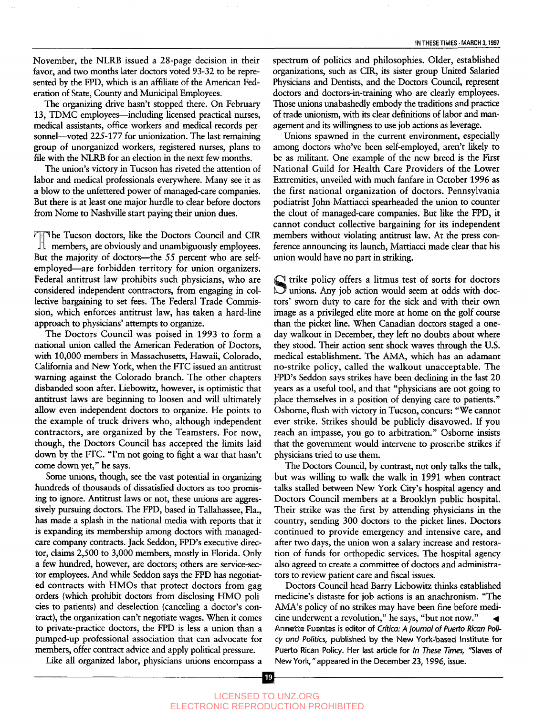November, the NLRB issued a 28-page decision in their favor, and two months later doctors voted 93-32 to be represented by the FPD, which is an affiliate of the American Federation of State, County and Municipal Employees.

The organizing drive hasn't stopped there. On February 13, TDMC employees — including licensed practical nurses, medical assistants, office workers and medical-records personnel—voted 225-177 for unionization. The last remaining group of unorganized workers, registered nurses, plans to file with the NLRB for an election in the next few months.

The union's victory in Tucson has riveted the attention of labor and medical professionals everywhere. Many see it as a blow to the unfettered power of managed-care companies. But there is at least one major hurdle to clear before doctors from Nome to Nashville start paying their union dues.

The Tucson doctors, like the Doctors Council and CIR members, are obviously and unambiguously employees. But the majority of doctors—the 55 percent who are selfemployed—are forbidden territory for union organizers. Federal antitrust law prohibits such physicians, who are considered independent contractors, from engaging in collective bargaining to set fees. The Federal Trade Commission, which enforces antitrust law, has taken a hard-line approach to physicians' attempts to organize.

The Doctors Council was poised in 1993 to form a national union called the American Federation of Doctors, with 10,000 members in Massachusetts, Hawaii, Colorado, California and New York, when the FTC issued an antitrust warning against the Colorado branch. The other chapters disbanded soon after. Liebowitz, however, is optimistic that antitrust laws are beginning to loosen and will ultimately allow even independent doctors to organize. He points to the example of truck drivers who, although independent contractors, are organized by the Teamsters. For now, though, the Doctors Council has accepted the limits laid down by the FTC. "I'm not going to fight a war that hasn't come down yet," he says.

Some unions, though, see the vast potential in organizing hundreds of thousands of dissatisfied doctors as too promising to ignore. Antitrust laws or not, these unions are aggressively pursuing doctors. The FPD, based in Tallahassee, Fla., has made a splash in the national media with reports that it is expanding its membership among doctors with managedcare company contracts. Jack Seddon, FPD's executive director, claims 2,500 to 3,000 members, mostly in Florida. Only a few hundred, however, are doctors; others are service-sector employees. And while Seddon says the FPD has negotiated contracts with HMOs that protect doctors from gag orders (which prohibit doctors from disclosing HMO policies to patients) and deselection (canceling a doctor's contract), the organization can't negotiate wages. When it comes to private-practice doctors, the FPD is less a union than a pumped-up professional association that can advocate for members, offer contract advice and apply political pressure.

spectrum of politics and philosophies. Older, established organizations, such as CIR, its sister group United Salaried Physicians and Dentists, and the Doctors Council, represent doctors and doctors-in-training who are clearly employees. Those unions unabashedly embody the traditions and practice of trade unionism, with its clear definitions of labor and management and its willingness to use job actions as leverage.

Unions spawned in the current environment, especially among doctors who've been self-employed, aren't likely to be as militant. One example of the new breed is the First National Guild for Health Care Providers of the Lower Extremities, unveiled with much fanfare in October 1996 as the first national organization of doctors. Pennsylvania podiatrist John Mattiacci spearheaded the union to counter the clout of managed-care companies. But like the FPD, it cannot conduct collective bargaining for its independent members without violating antitrust law. At the press conference announcing its launch, Mattiacci made clear that his union would have no part in striking.

S trike policy offers a litmus test of sorts for doctors<br>Unions. Any job action would seem at odds with docunions. Any job action would seem at odds with doctors' sworn duty to care for the sick and with their own image as a privileged elite more at home on the golf course than the picket line. When Canadian doctors staged a oneday walkout in December, they left no doubts about where they stood. Their action sent shock waves through the U.S. medical establishment. The AMA, which has an adamant no-strike policy, called the walkout unacceptable. The FPD's Seddon says strikes have been declining in the last 20 years as a useful tool, and that "physicians are not going to place themselves in a position of denying care to patients." Osborne, flush with victory in Tucson, concurs: "We cannot ever strike. Strikes should be publicly disavowed. If you reach an impasse, you go to arbitration." Osborne insists that the government would intervene to proscribe strikes if physicians tried to use them.

The Doctors Council, by contrast, not only talks the talk, but was willing to walk the walk in 1991 when contract talks stalled between New York City's hospital agency and Doctors Council members at a Brooklyn public hospital. Their strike was the first by attending physicians in the country, sending 300 doctors to the picket lines. Doctors continued to provide emergency and intensive care, and after two days, the union won a salary increase and restoration of funds for orthopedic services. The hospital agency also agreed to create a committee of doctors and administrators to review patient care and fiscal issues.

Doctors Council head Barry Liebowitz thinks established medicine's distaste for job actions is an anachronism. "The AMA's policy of no strikes may have been fine before medicine underwent a revolution," he says, "but not now." Annette Fuentes is editor of *Crftica: A journal of Puerto Rican Policy and Politics,* published by the New York-based Institute for Puerto Rican Policy. Her last article for *In These Times,* "Slaves of New York," appeared in the December 23,1996, issue.

Like all organized labor, physicians unions encompass a

 $|19\rangle$